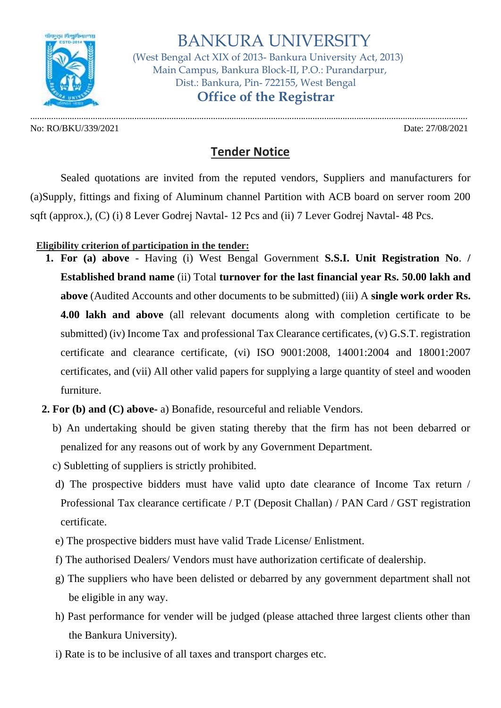

 BANKURA UNIVERSITY (West Bengal Act XIX of 2013- Bankura University Act, 2013) Main Campus, Bankura Block-II, P.O.: Purandarpur, Dist.: Bankura, Pin- 722155, West Bengal  **Office of the Registrar**

No: RO/BKU/339/2021 Date: 27/08/2021

.............................................................................................................................................................................................

## **Tender Notice**

Sealed quotations are invited from the reputed vendors, Suppliers and manufacturers for (a)Supply, fittings and fixing of Aluminum channel Partition with ACB board on server room 200 sqft (approx.), (C) (i) 8 Lever Godrej Navtal- 12 Pcs and (ii) 7 Lever Godrej Navtal- 48 Pcs.

**Eligibility criterion of participation in the tender:**

- **1. For (a) above** Having (i) West Bengal Government **S.S.I. Unit Registration No**. **/ Established brand name** (ii) Total **turnover for the last financial year Rs. 50.00 lakh and above** (Audited Accounts and other documents to be submitted) (iii) A **single work order Rs. 4.00 lakh and above** (all relevant documents along with completion certificate to be submitted) (iv) Income Tax and professional Tax Clearance certificates, (v) G.S.T. registration certificate and clearance certificate, (vi) ISO 9001:2008, 14001:2004 and 18001:2007 certificates, and (vii) All other valid papers for supplying a large quantity of steel and wooden furniture.
- **2. For (b) and (C) above-** a) Bonafide, resourceful and reliable Vendors.
	- b) An undertaking should be given stating thereby that the firm has not been debarred or penalized for any reasons out of work by any Government Department.
	- c) Subletting of suppliers is strictly prohibited.
	- d) The prospective bidders must have valid upto date clearance of Income Tax return / Professional Tax clearance certificate / P.T (Deposit Challan) / PAN Card / GST registration certificate.
	- e) The prospective bidders must have valid Trade License/ Enlistment.
	- f) The authorised Dealers/ Vendors must have authorization certificate of dealership.
	- g) The suppliers who have been delisted or debarred by any government department shall not be eligible in any way.
	- h) Past performance for vender will be judged (please attached three largest clients other than the Bankura University).
	- i) Rate is to be inclusive of all taxes and transport charges etc.